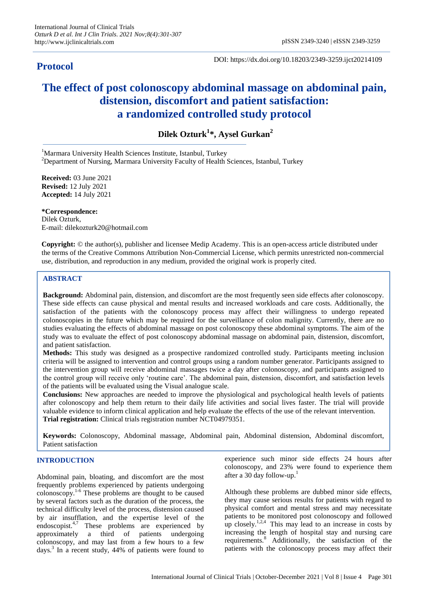# **Protocol**

DOI: https://dx.doi.org/10.18203/2349-3259.ijct20214109

# **The effect of post colonoscopy abdominal massage on abdominal pain, distension, discomfort and patient satisfaction: a randomized controlled study protocol**

**Dilek Ozturk<sup>1</sup> \*, Aysel Gurkan<sup>2</sup>**

<sup>1</sup>Marmara University Health Sciences Institute, Istanbul, Turkey

<sup>2</sup>Department of Nursing, Marmara University Faculty of Health Sciences, Istanbul, Turkey

**Received:** 03 June 2021 **Revised:** 12 July 2021 **Accepted:** 14 July 2021

**\*Correspondence:** Dilek Ozturk, E-mail: dilekozturk20@hotmail.com

**Copyright:** © the author(s), publisher and licensee Medip Academy. This is an open-access article distributed under the terms of the Creative Commons Attribution Non-Commercial License, which permits unrestricted non-commercial use, distribution, and reproduction in any medium, provided the original work is properly cited.

# **ABSTRACT**

**Background:** Abdominal pain, distension, and discomfort are the most frequently seen side effects after colonoscopy. These side effects can cause physical and mental results and increased workloads and care costs. Additionally, the satisfaction of the patients with the colonoscopy process may affect their willingness to undergo repeated colonoscopies in the future which may be required for the surveillance of colon malignity. Currently, there are no studies evaluating the effects of abdominal massage on post colonoscopy these abdominal symptoms. The aim of the study was to evaluate the effect of post colonoscopy abdominal massage on abdominal pain, distension, discomfort, and patient satisfaction.

**Methods:** This study was designed as a prospective randomized controlled study. Participants meeting inclusion criteria will be assigned to intervention and control groups using a random number generator. Participants assigned to the intervention group will receive abdominal massages twice a day after colonoscopy, and participants assigned to the control group will receive only 'routine care'. The abdominal pain, distension, discomfort, and satisfaction levels of the patients will be evaluated using the Visual analogue scale.

**Conclusions:** New approaches are needed to improve the physiological and psychological health levels of patients after colonoscopy and help them return to their daily life activities and social lives faster. The trial will provide valuable evidence to inform clinical application and help evaluate the effects of the use of the relevant intervention. **Trial registration:** Clinical trials registration number NCT04979351.

**Keywords:** Colonoscopy, Abdominal massage, Abdominal pain, Abdominal distension, Abdominal discomfort, Patient satisfaction

# **INTRODUCTION**

Abdominal pain, bloating, and discomfort are the most frequently problems experienced by patients undergoing colonoscopy.1-6 These problems are thought to be caused by several factors such as the duration of the process, the technical difficulty level of the process, distension caused by air insufflation, and the expertise level of the endoscopist.<sup>4,7</sup> These problems are experienced by approximately a third of patients undergoing colonoscopy, and may last from a few hours to a few days.<sup>3</sup> In a recent study, 44% of patients were found to experience such minor side effects 24 hours after colonoscopy, and 23% were found to experience them after a 30 day follow-up.<sup>1</sup>

Although these problems are dubbed minor side effects, they may cause serious results for patients with regard to physical comfort and mental stress and may necessitate patients to be monitored post colonoscopy and followed up closely.<sup>1,2,4</sup> This may lead to an increase in costs by increasing the length of hospital stay and nursing care requirements.<sup>8</sup> Additionally, the satisfaction of the patients with the colonoscopy process may affect their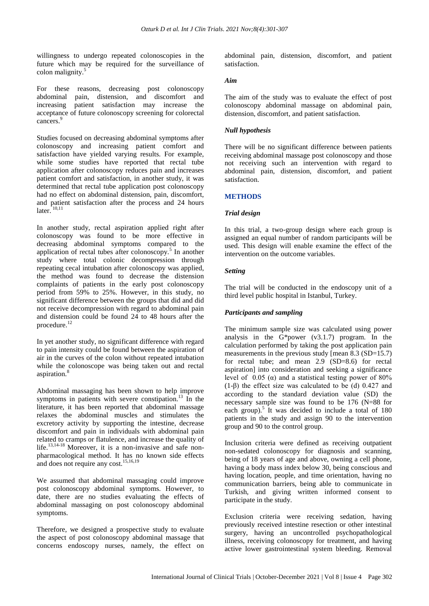willingness to undergo repeated colonoscopies in the future which may be required for the surveillance of colon malignity. $\frac{5}{3}$ 

For these reasons, decreasing post colonoscopy abdominal pain, distension, and discomfort and increasing patient satisfaction may increase the acceptance of future colonoscopy screening for colorectal cancers.<sup>9</sup>

Studies focused on decreasing abdominal symptoms after colonoscopy and increasing patient comfort and satisfaction have yielded varying results. For example, while some studies have reported that rectal tube application after colonoscopy reduces pain and increases patient comfort and satisfaction, in another study, it was determined that rectal tube application post colonoscopy had no effect on abdominal distension, pain, discomfort, and patient satisfaction after the process and 24 hours  $\arctan \arctan 10,11$ 

In another study, rectal aspiration applied right after colonoscopy was found to be more effective in decreasing abdominal symptoms compared to the application of rectal tubes after colonoscopy.<sup>5</sup> In another study where total colonic decompression through repeating cecal intubation after colonoscopy was applied, the method was found to decrease the distension complaints of patients in the early post colonoscopy period from 59% to 25%. However, in this study, no significant difference between the groups that did and did not receive decompression with regard to abdominal pain and distension could be found 24 to 48 hours after the procedure.<sup>12</sup>

In yet another study, no significant difference with regard to pain intensity could be found between the aspiration of air in the curves of the colon without repeated intubation while the colonoscope was being taken out and rectal aspiration.<sup>8</sup>

Abdominal massaging has been shown to help improve symptoms in patients with severe constipation.<sup>13</sup> In the literature, it has been reported that abdominal massage relaxes the abdominal muscles and stimulates the excretory activity by supporting the intestine, decrease discomfort and pain in individuals with abdominal pain related to cramps or flatulence, and increase the quality of life.<sup>13,14-18</sup> Moreover, it is a non-invasive and safe nonpharmacological method. It has no known side effects and does not require any cost.<sup>15,16,19</sup>

We assumed that abdominal massaging could improve post colonoscopy abdominal symptoms. However, to date, there are no studies evaluating the effects of abdominal massaging on post colonoscopy abdominal symptoms.

Therefore, we designed a prospective study to evaluate the aspect of post colonoscopy abdominal massage that concerns endoscopy nurses, namely, the effect on abdominal pain, distension, discomfort, and patient satisfaction.

#### *Aim*

The aim of the study was to evaluate the effect of post colonoscopy abdominal massage on abdominal pain, distension, discomfort, and patient satisfaction.

# *Null hypothesis*

There will be no significant difference between patients receiving abdominal massage post colonoscopy and those not receiving such an intervention with regard to abdominal pain, distension, discomfort, and patient satisfaction.

# **METHODS**

# *Trial design*

In this trial, a two-group design where each group is assigned an equal number of random participants will be used. This design will enable examine the effect of the intervention on the outcome variables.

# *Setting*

The trial will be conducted in the endoscopy unit of a third level public hospital in Istanbul, Turkey.

# *Participants and sampling*

The minimum sample size was calculated using power analysis in the G\*power (v3.1.7) program. In the calculation performed by taking the post application pain measurements in the previous study [mean  $8.3$  (SD=15.7) for rectal tube; and mean 2.9 (SD=8.6) for rectal aspiration] into consideration and seeking a significance level of 0.05 (α) and a statistical testing power of  $80\%$ (1-β) the effect size was calculated to be (d) 0.427 and according to the standard deviation value (SD) the necessary sample size was found to be 176 (N=88 for each group).<sup>5</sup> It was decided to include a total of  $180$ patients in the study and assign 90 to the intervention group and 90 to the control group.

Inclusion criteria were defined as receiving outpatient non-sedated colonoscopy for diagnosis and scanning, being of 18 years of age and above, owning a cell phone, having a body mass index below 30, being conscious and having location, people, and time orientation, having no communication barriers, being able to communicate in Turkish, and giving written informed consent to participate in the study.

Exclusion criteria were receiving sedation, having previously received intestine resection or other intestinal surgery, having an uncontrolled psychopathological illness, receiving colonoscopy for treatment, and having active lower gastrointestinal system bleeding. Removal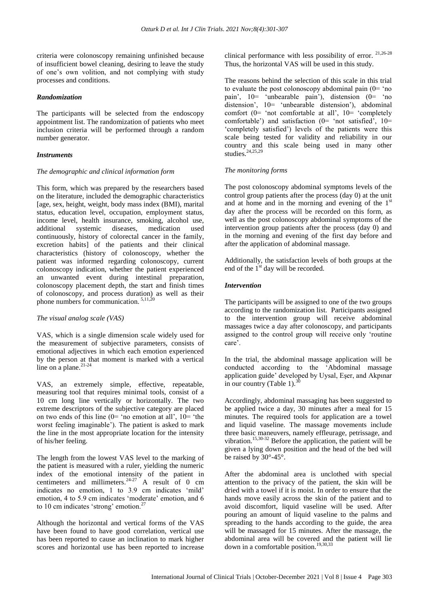criteria were colonoscopy remaining unfinished because of insufficient bowel cleaning, desiring to leave the study of one's own volition, and not complying with study processes and conditions.

# *Randomization*

The participants will be selected from the endoscopy appointment list. The randomization of patients who meet inclusion criteria will be performed through a random number generator.

# *Instruments*

# *The demographic and clinical information form*

This form, which was prepared by the researchers based on the literature, included the demographic characteristics [age, sex, height, weight, body mass index (BMI), marital status, education level, occupation, employment status, income level, health insurance, smoking, alcohol use, additional systemic diseases, medication used continuously, history of colorectal cancer in the family, excretion habits] of the patients and their clinical characteristics (history of colonoscopy, whether the patient was informed regarding colonoscopy, current colonoscopy indication, whether the patient experienced an unwanted event during intestinal preparation, colonoscopy placement depth, the start and finish times of colonoscopy, and process duration) as well as their phone numbers for communication.<sup>5,11,20</sup>

#### *The visual analog scale (VAS)*

VAS, which is a single dimension scale widely used for the measurement of subjective parameters, consists of emotional adjectives in which each emotion experienced by the person at that moment is marked with a vertical line on a plane. $21-24$ 

VAS, an extremely simple, effective, repeatable, measuring tool that requires minimal tools, consist of a 10 cm long line vertically or horizontally. The two extreme descriptors of the subjective category are placed on two ends of this line  $(0=$  'no emotion at all',  $10=$  'the worst feeling imaginable'). The patient is asked to mark the line in the most appropriate location for the intensity of his/her feeling.

The length from the lowest VAS level to the marking of the patient is measured with a ruler, yielding the numeric index of the emotional intensity of the patient in centimeters and millimeters.<sup>24-27</sup> A result of 0 cm indicates no emotion, 1 to 3.9 cm indicates 'mild' emotion, 4 to 5.9 cm indicates 'moderate' emotion, and 6 to 10 cm indicates 'strong' emotion.<sup>27</sup>

Although the horizontal and vertical forms of the VAS have been found to have good correlation, vertical use has been reported to cause an inclination to mark higher scores and horizontal use has been reported to increase

clinical performance with less possibility of error. 21,26-28 Thus, the horizontal VAS will be used in this study.

The reasons behind the selection of this scale in this trial to evaluate the post colonoscopy abdominal pain  $(0=$  'no pain', 10= 'unbearable pain'), distension (0= 'no distension', 10= 'unbearable distension'), abdominal comfort (0= 'not comfortable at all', 10= 'completely comfortable') and satisfaction ( $0=$  'not satisfied',  $10=$ 'completely satisfied') levels of the patients were this scale being tested for validity and reliability in our country and this scale being used in many other studies.<sup>24,25,29</sup>

# *The monitoring forms*

The post colonoscopy abdominal symptoms levels of the control group patients after the process (day 0) at the unit and at home and in the morning and evening of the  $1<sup>st</sup>$ day after the process will be recorded on this form, as well as the post colonoscopy abdominal symptoms of the intervention group patients after the process (day 0) and in the morning and evening of the first day before and after the application of abdominal massage.

Additionally, the satisfaction levels of both groups at the end of the  $1<sup>st</sup>$  day will be recorded.

# *Intervention*

The participants will be assigned to one of the two groups according to the randomization list. Participants assigned to the intervention group will receive abdominal massages twice a day after colonoscopy, and participants assigned to the control group will receive only 'routine care'.

In the trial, the abdominal massage application will be conducted according to the 'Abdominal massage application guide' developed by Uysal, Eşer, and Akpınar in our country (Table 1). $\frac{3}{5}$ 

Accordingly, abdominal massaging has been suggested to be applied twice a day, 30 minutes after a meal for 15 minutes. The required tools for application are a towel and liquid vaseline. The massage movements include three basic maneuvers, namely effleurage, petrissage, and vibration.<sup>15,30-32</sup> Before the application, the patient will be given a lying down position and the head of the bed will be raised by 30°-45°.

After the abdominal area is unclothed with special attention to the privacy of the patient, the skin will be dried with a towel if it is moist. In order to ensure that the hands move easily across the skin of the patient and to avoid discomfort, liquid vaseline will be used. After pouring an amount of liquid vaseline to the palms and spreading to the hands according to the guide, the area will be massaged for 15 minutes. After the massage, the abdominal area will be covered and the patient will lie down in a comfortable position.<sup>19,30,33</sup>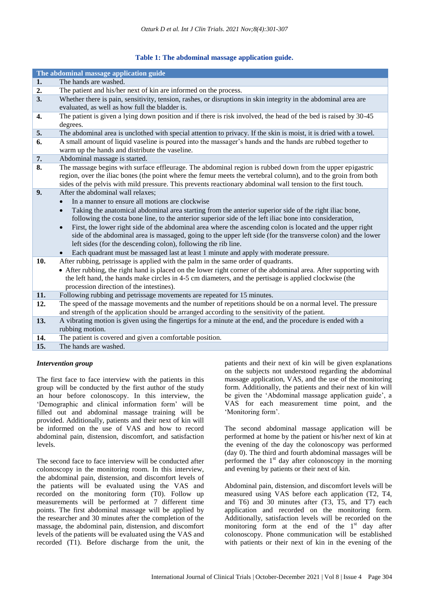# **Table 1: The abdominal massage application guide.**

|     | The abdominal massage application guide                                                                                                                                                                                         |
|-----|---------------------------------------------------------------------------------------------------------------------------------------------------------------------------------------------------------------------------------|
| 1.  | The hands are washed.                                                                                                                                                                                                           |
| 2.  | The patient and his/her next of kin are informed on the process.                                                                                                                                                                |
| 3.  | Whether there is pain, sensitivity, tension, rashes, or disruptions in skin integrity in the abdominal area are                                                                                                                 |
|     | evaluated, as well as how full the bladder is.                                                                                                                                                                                  |
| 4.  | The patient is given a lying down position and if there is risk involved, the head of the bed is raised by 30-45                                                                                                                |
|     | degrees.                                                                                                                                                                                                                        |
| 5.  | The abdominal area is unclothed with special attention to privacy. If the skin is moist, it is dried with a towel.                                                                                                              |
| 6.  | A small amount of liquid vaseline is poured into the massager's hands and the hands are rubbed together to                                                                                                                      |
|     | warm up the hands and distribute the vaseline.                                                                                                                                                                                  |
| 7.  | Abdominal massage is started.                                                                                                                                                                                                   |
| 8.  | The massage begins with surface effleurage. The abdominal region is rubbed down from the upper epigastric                                                                                                                       |
|     | region, over the iliac bones (the point where the femur meets the vertebral column), and to the groin from both<br>sides of the pelvis with mild pressure. This prevents reactionary abdominal wall tension to the first touch. |
| 9.  | After the abdominal wall relaxes;                                                                                                                                                                                               |
|     | In a manner to ensure all motions are clockwise                                                                                                                                                                                 |
|     | Taking the anatomical abdominal area starting from the anterior superior side of the right iliac bone,<br>$\bullet$                                                                                                             |
|     | following the costa bone line, to the anterior superior side of the left iliac bone into consideration,                                                                                                                         |
|     | First, the lower right side of the abdominal area where the ascending colon is located and the upper right<br>$\bullet$                                                                                                         |
|     | side of the abdominal area is massaged, going to the upper left side (for the transverse colon) and the lower                                                                                                                   |
|     | left sides (for the descending colon), following the rib line.                                                                                                                                                                  |
|     | Each quadrant must be massaged last at least 1 minute and apply with moderate pressure.                                                                                                                                         |
| 10. | After rubbing, petrissage is applied with the palm in the same order of quadrants.                                                                                                                                              |
|     | • After rubbing, the right hand is placed on the lower right corner of the abdominal area. After supporting with                                                                                                                |
|     | the left hand, the hands make circles in 4-5 cm diameters, and the pertisage is applied clockwise (the                                                                                                                          |
|     | procession direction of the intestines).                                                                                                                                                                                        |
| 11. | Following rubbing and petrissage movements are repeated for 15 minutes.                                                                                                                                                         |
| 12. | The speed of the massage movements and the number of repetitions should be on a normal level. The pressure                                                                                                                      |
|     | and strength of the application should be arranged according to the sensitivity of the patient.                                                                                                                                 |
| 13. | A vibrating motion is given using the fingertips for a minute at the end, and the procedure is ended with a                                                                                                                     |
|     | rubbing motion.                                                                                                                                                                                                                 |
| 14. | The patient is covered and given a comfortable position.                                                                                                                                                                        |
| 15. | The hands are washed.                                                                                                                                                                                                           |

#### *Intervention group*

The first face to face interview with the patients in this group will be conducted by the first author of the study an hour before colonoscopy. In this interview, the 'Demographic and clinical information form' will be filled out and abdominal massage training will be provided. Additionally, patients and their next of kin will be informed on the use of VAS and how to record abdominal pain, distension, discomfort, and satisfaction levels.

The second face to face interview will be conducted after colonoscopy in the monitoring room. In this interview, the abdominal pain, distension, and discomfort levels of the patients will be evaluated using the VAS and recorded on the monitoring form (T0). Follow up measurements will be performed at 7 different time points. The first abdominal massage will be applied by the researcher and 30 minutes after the completion of the massage, the abdominal pain, distension, and discomfort levels of the patients will be evaluated using the VAS and recorded (T1). Before discharge from the unit, the

patients and their next of kin will be given explanations on the subjects not understood regarding the abdominal massage application, VAS, and the use of the monitoring form. Additionally, the patients and their next of kin will be given the 'Abdominal massage application guide', a VAS for each measurement time point, and the 'Monitoring form'.

The second abdominal massage application will be performed at home by the patient or his/her next of kin at the evening of the day the colonoscopy was performed (day 0). The third and fourth abdominal massages will be performed the  $1<sup>st</sup>$  day after colonoscopy in the morning and evening by patients or their next of kin.

Abdominal pain, distension, and discomfort levels will be measured using VAS before each application (T2, T4, and T6) and 30 minutes after (T3, T5, and T7) each application and recorded on the monitoring form. Additionally, satisfaction levels will be recorded on the monitoring form at the end of the  $1<sup>st</sup>$  day after colonoscopy. Phone communication will be established with patients or their next of kin in the evening of the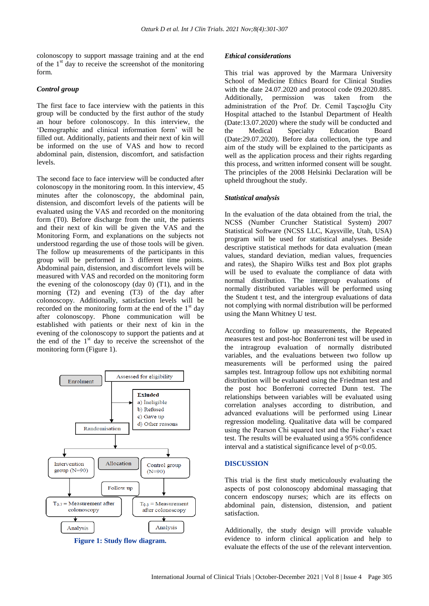colonoscopy to support massage training and at the end of the  $1<sup>st</sup>$  day to receive the screenshot of the monitoring form.

#### *Control group*

The first face to face interview with the patients in this group will be conducted by the first author of the study an hour before colonoscopy. In this interview, the 'Demographic and clinical information form' will be filled out. Additionally, patients and their next of kin will be informed on the use of VAS and how to record abdominal pain, distension, discomfort, and satisfaction levels.

The second face to face interview will be conducted after colonoscopy in the monitoring room. In this interview, 45 minutes after the colonoscopy, the abdominal pain, distension, and discomfort levels of the patients will be evaluated using the VAS and recorded on the monitoring form (T0). Before discharge from the unit, the patients and their next of kin will be given the VAS and the Monitoring Form, and explanations on the subjects not understood regarding the use of those tools will be given. The follow up measurements of the participants in this group will be performed in 3 different time points. Abdominal pain, distension, and discomfort levels will be measured with VAS and recorded on the monitoring form the evening of the colonoscopy (day  $0$ ) (T1), and in the morning (T2) and evening (T3) of the day after colonoscopy. Additionally, satisfaction levels will be recorded on the monitoring form at the end of the  $1<sup>st</sup>$  day after colonoscopy. Phone communication will be established with patients or their next of kin in the evening of the colonoscopy to support the patients and at the end of the  $1<sup>st</sup>$  day to receive the screenshot of the monitoring form (Figure 1).



**Figure 1: Study flow diagram.**

#### *Ethical considerations*

This trial was approved by the Marmara University School of Medicine Ethics Board for Clinical Studies with the date 24.07.2020 and protocol code 09.2020.885. Additionally, permission was taken from the administration of the Prof. Dr. Cemil Taşcıoğlu City Hospital attached to the Istanbul Department of Health (Date:13.07.2020) where the study will be conducted and the Medical Specialty Education Board (Date:29.07.2020). Before data collection, the type and aim of the study will be explained to the participants as well as the application process and their rights regarding this process, and written informed consent will be sought. The principles of the 2008 Helsinki Declaration will be upheld throughout the study.

#### *Statistical analysis*

In the evaluation of the data obtained from the trial, the NCSS (Number Cruncher Statistical System) 2007 Statistical Software (NCSS LLC, Kaysville, Utah, USA) program will be used for statistical analyses. Beside descriptive statistical methods for data evaluation (mean values, standard deviation, median values, frequencies and rates), the Shapiro Wilks test and Box plot graphs will be used to evaluate the compliance of data with normal distribution. The intergroup evaluations of normally distributed variables will be performed using the Student t test, and the intergroup evaluations of data not complying with normal distribution will be performed using the Mann Whitney U test.

According to follow up measurements, the Repeated measures test and post-hoc Bonferroni test will be used in the intragroup evaluation of normally distributed variables, and the evaluations between two follow up measurements will be performed using the paired samples test. Intragroup follow ups not exhibiting normal distribution will be evaluated using the Friedman test and the post hoc Bonferroni corrected Dunn test. The relationships between variables will be evaluated using correlation analyses according to distribution, and advanced evaluations will be performed using Linear regression modeling. Qualitative data will be compared using the Pearson Chi squared test and the Fisher's exact test. The results will be evaluated using a 95% confidence interval and a statistical significance level of  $p<0.05$ .

#### **DISCUSSION**

This trial is the first study meticulously evaluating the aspects of post colonoscopy abdominal massaging that concern endoscopy nurses; which are its effects on abdominal pain, distension, distension, and patient satisfaction.

Additionally, the study design will provide valuable evidence to inform clinical application and help to evaluate the effects of the use of the relevant intervention.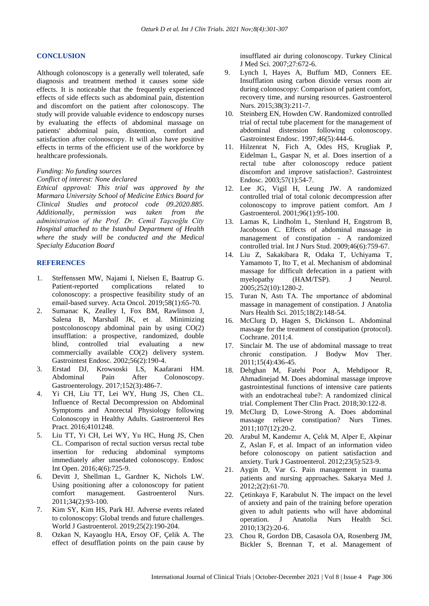#### **CONCLUSION**

Although colonoscopy is a generally well tolerated, safe diagnosis and treatment method it causes some side effects. It is noticeable that the frequently experienced effects of side effects such as abdominal pain, distention and discomfort on the patient after colonoscopy. The study will provide valuable evidence to endoscopy nurses by evaluating the effects of abdominal massage on patients' abdominal pain, distention, comfort and satisfaction after colonoscopy. It will also have positive effects in terms of the efficient use of the workforce by healthcare professionals.

#### *Funding: No funding sources*

#### *Conflict of interest: None declared*

*Ethical approval: This trial was approved by the Marmara University School of Medicine Ethics Board for Clinical Studies and protocol code 09.2020.885. Additionally, permission was taken from the administration of the Prof. Dr. Cemil Taşcıoğlu City Hospital attached to the Istanbul Department of Health where the study will be conducted and the Medical Specialty Education Board* 

#### **REFERENCES**

- 1. Steffenssen MW, Najami I, Nielsen E, Baatrup G. Patient-reported complications related to colonoscopy: a prospective feasibility study of an email-based survey. Acta Oncol. 2019;58(1):65-70.
- 2. Sumanac K, Zealley I, Fox BM, Rawlinson J, Salena B, Marshall JK, et al. Minimizing postcolonoscopy abdominal pain by using CO(2) insufflation: a prospective, randomized, double blind, controlled trial evaluating a new commercially available CO(2) delivery system. Gastrointest Endosc. 2002;56(2):190-4.
- 3. Erstad DJ, Krowsoski LS, Kaafarani HM. Abdominal Pain After Colonoscopy. Gastroenterology. 2017;152(3):486-7.
- 4. Yi CH, Liu TT, Lei WY, Hung JS, Chen CL. Influence of Rectal Decompression on Abdominal Symptoms and Anorectal Physiology following Colonoscopy in Healthy Adults. Gastroenterol Res Pract. 2016;4101248.
- 5. Liu TT, Yi CH, Lei WY, Yu HC, Hung JS, Chen CL. Comparison of rectal suction versus rectal tube insertion for reducing abdominal symptoms immediately after unsedated colonoscopy. Endosc Int Open. 2016;4(6):725-9.
- 6. Devitt J, Shellman L, Gardner K, Nichols LW. Using positioning after a colonoscopy for patient comfort management. Gastroenterol Nurs. 2011;34(2):93-100.
- 7. Kim SY, Kim HS, Park HJ. Adverse events related to colonoscopy: Global trends and future challenges. World J Gastroenterol. 2019;25(2):190-204.
- 8. Ozkan N, Kayaoglu HA, Ersoy OF, Çelik A. The effect of desufflation points on the pain cause by

insufflated air during colonoscopy. Turkey Clinical J Med Sci. 2007;27:672-6.

- 9. Lynch I, Hayes A, Buffum MD, Conners EE. Insufflation using carbon dioxide versus room air during colonoscopy: Comparison of patient comfort, recovery time, and nursing resources. Gastroenterol Nurs. 2015;38(3):211-7.
- 10. Steinberg EN, Howden CW. Randomized controlled trial of rectal tube placement for the management of abdominal distension following colonoscopy. Gastrointest Endosc. 1997;46(5):444-6.
- 11. Hilzenrat N, Fich A, Odes HS, Krugliak P, Eidelman L, Gaspar N, et al. Does insertion of a rectal tube after colonoscopy reduce patient discomfort and improve satisfaction?. Gastrointest Endosc. 2003;57(1):54-7.
- 12. Lee JG, Vigil H, Leung JW. A randomized controlled trial of total colonic decompression after colonoscopy to improve patient comfort. Am J Gastroenterol. 2001;96(1):95-100.
- 13. Lamas K, Lindholm L, Stenlund H, Engstrom B, Jacobsson C. Effects of abdominal massage in management of constipation - A randomized controlled trial. Int J Nurs Stud. 2009;46(6):759-67.
- 14. Liu Z, Sakakibara R, Odaka T, Uchiyama T, Yamamoto T, Ito T, et al. Mechanism of abdominal massage for difficult defecation in a patient with myelopathy (HAM/TSP). J Neurol. 2005;252(10):1280-2.
- 15. Turan N, Astı TA. The ımportance of abdominal massage in management of constipation. J Anatolia Nurs Health Sci. 2015;18(2):148-54.
- 16. McClurg D, Hagen S, Dickinson L. Abdominal massage for the treatment of constipation (protocol). Cochrane. 2011;4.
- 17. Sinclair M. The use of abdominal massage to treat chronic constipation. J Bodyw Mov Ther. 2011;15(4):436-45.
- 18. Dehghan M, Fatehi Poor A, Mehdipoor R, Ahmadinejad M. Does abdominal massage improve gastrointestinal functions of intensive care patients with an endotracheal tube?: A randomized clinical trial. Complement Ther Clin Pract. 2018;30:122-8.
- 19. McClurg D, Lowe-Strong A. Does abdominal massage relieve constipation? Nurs Times. 2011;107(12):20-2.
- 20. Arabul M, Kandemır A, Çelık M, Alper E, Akpinar Z, Aslan F, et al. Impact of an information video before colonoscopy on patient satisfaction and anxiety. Turk J Gastroenterol. 2012;23(5):523-9.
- 21. Aygin D, Var G. Pain management in trauma patients and nursing approaches. Sakarya Med J. 2012;2(2):61-70.
- 22. Çetinkaya F, Karabulut N. The impact on the level of anxiety and pain of the training before operation given to adult patients who will have abdominal operation. J Anatolia Nurs Health Sci. 2010;13(2):20-6.
- 23. Chou R, Gordon DB, Casasola OA, Rosenberg JM, Bickler S, Brennan T, et al. Management of